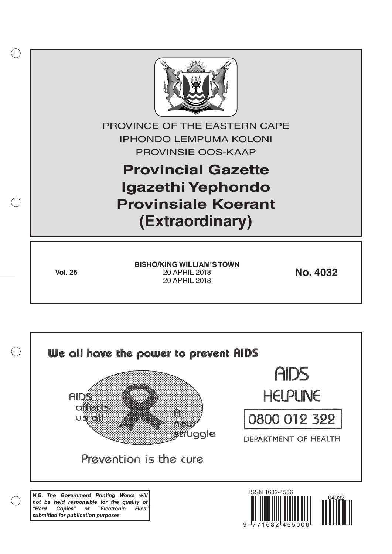

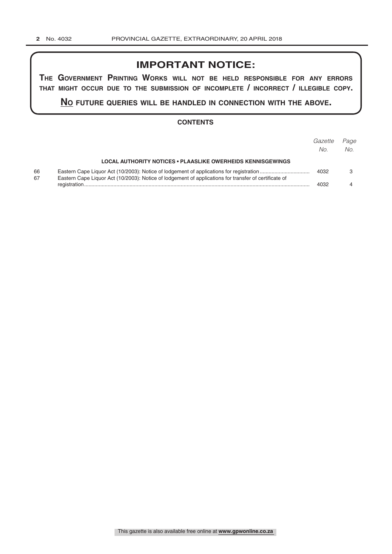# **IMPORTANT NOTICE:**

**The GovernmenT PrinTinG Works Will noT be held resPonsible for any errors ThaT miGhT occur due To The submission of incomPleTe / incorrecT / illeGible coPy.**

**no fuTure queries Will be handled in connecTion WiTh The above.**

### **CONTENTS**

|          |                                                                                                       | Gazette<br>No. | Page<br>No. |
|----------|-------------------------------------------------------------------------------------------------------|----------------|-------------|
|          | <b>LOCAL AUTHORITY NOTICES • PLAASLIKE OWERHEIDS KENNISGEWINGS</b>                                    |                |             |
| 66<br>67 | Eastern Cape Liquor Act (10/2003): Notice of lodgement of applications for transfer of certificate of | 4032           |             |
|          |                                                                                                       | 4032           |             |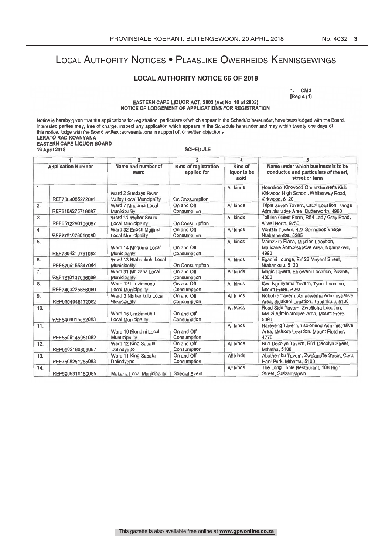# Local Authority Notices • Plaaslike Owerheids Kennisgewings

## **LOCAL AUTHORITY NOTICE 66 OF 2018**

1. CM3 [Reg 4 (1)

EASTERN CAPE LIQUOR ACT, 2003 (Act No. 10 of 2003) NOTICE OF LODGEMENT OF APPLICATIONS FOR REGISTRATION

nouce is nereby given that the applications for registration, particulars of which appear in the Schedule hereunder, have been lodged with the Board.<br>Interested parties may, free of charge, inspect any application which ap this notice, lodge with the Board written representations in support of, or written objections.<br>LERATO RADIKOANYANA EASTERN CAPE LIQUOR BOARD 19 April 2018 **SCHEDULE** 

|                           |                  |                                                         | з                                   | 4                               | 5                                                                                                  |
|---------------------------|------------------|---------------------------------------------------------|-------------------------------------|---------------------------------|----------------------------------------------------------------------------------------------------|
| <b>Application Number</b> |                  | Name and number of<br>Ward                              | Kind of registration<br>applied for | Kind of<br>liquor to be<br>sold | Name under which business is to be<br>conducted and particulars of the erf,<br>street or farm      |
| 1.                        | REF7004085272081 | Ward 2 Sundays River<br><b>Valley Local Muncipality</b> | On Consumption                      | All kinds                       | Hoerskool Kirkwood Ondersteuner's Klub,<br>Kirkwood High School, Whitesway Road,<br>Kirkwood, 6120 |
| 2.                        | REF6105275719087 | Ward 7 Mnguma Local<br>Municipality                     | On and Off<br>Consumption           | All kinds                       | Triple Seven Tavern, Lalini Location, Tanga<br>Administrative Area, Butterworth, 4960              |
| 3.                        | REF6512290105087 | Ward 11 Walter Sisulu<br><b>Local Municipality</b>      | On Consumption                      | All kinds                       | Toll Inn Guest Farm, R54 Lady Gray Road,<br>Aliwal North, 9750                                     |
| 4.                        | REF6701076010088 | Ward 32 Enoch Mgijima<br><b>Local Municipality</b>      | On and Off<br>Consumption           | All kinds                       | Vontshi Tavern, 427 Springbok Village,<br>Ntabethemba, 5365                                        |
| 5.                        | REF7304210791082 | Ward 14 Mnquma Local<br>Municipality                    | On and Off<br>Consumption           | All kinds                       | Mamzizi's Place, Mission Location,<br>Mpukane Administrative Area, Ngamakwe,<br>4990               |
| 6.                        | REF8706155847084 | Ward 13 Ntabankulu Local<br>Municipality                | On Consumption                      | All kinds                       | Egadini Lounge, Erf 22 Mnyani Street,<br>Ntabankulu, 5130                                          |
| 7.                        | REF7310107096089 | Ward 31 Mbizana Local<br>Municipality                   | On and Off<br>Consumption           | All kinds                       | Magic Tavern, Ebloweni Location, Bizana,<br>4800                                                   |
| 8.                        | REF7403225656080 | Ward 12 Umzimvubu<br>Local Municipality                 | On and Off<br>Consumption           | All kinds                       | Kwa Ngonyama Tavern, Tyeni Location,<br>Mount Frere, 5090                                          |
| 9.                        | REF9104046179082 | Ward 3 Ntabankulu Local<br><b>Municipality</b>          | On and Off<br>Consumption           | All kinds                       | Nobuhle Tavern, Amacwerha Administrative<br>Area, Sidakeni Location, Tabankulu, 5130               |
| 10.                       | REF8406015592083 | Ward 15 Umzimvubu<br>Local Municipality                 | On and Off<br>Consumption           | All kinds                       | Road Side Tavern, Zwelitsha Location,<br>Mvuzi Administrative Area, Mount Frere,<br>5090           |
| 11.                       | REF8509145981082 | Ward 10 Elundini Local<br>Munucipality                  | On and Off<br>Consumption           | All kinds                       | Hareyeng Tavern, Tsolobeng Administrative<br>Area, Matsora Location, Mount Fletcher,<br>4770       |
| 12.                       | REF9902180809087 | Ward 12 King Sabata<br>Dalindyebo                       | On and Off<br>Consumption           | All kinds                       | R61 Decolyn Tavern, R61 Decolyn Street,<br>Mthatha, 5100                                           |
| 13.                       | REF7508251265083 | Ward 11 King Sabata<br>Dalindyebo                       | On and Off<br>Consumption           | All kinds                       | Abathembu Tavem, Zwelandile Street, Chris<br>Hani Park, Mthatha, 5100                              |
| 14.                       | REF5905310160085 | <b>Makana Local Municipality</b>                        | <b>Special Event</b>                | All kinds                       | The Long Table Restaurant, 108 High<br>Street, Grahamstown,                                        |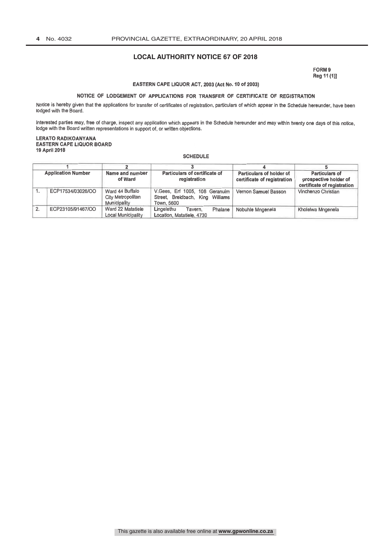## **LOCAL AUTHORITY NOTICE 67 OF 2018**

FORM 9 Reg 11 (1)]

#### EASTERN CAPE LIQUOR ACT, 2003 (Act No. 10 of 2003)

#### NOTICE OF LODGEMENT OF APPLICATIONS FOR TRANSFER OF CERTIFICATE OF REGISTRATION

Notice is hereby given that the applications for transfer of certificates of registration, particulars of which appear in the Schedule hereunder, have been lodged with the Board.

Interested parties may, free of charge, inspect any application which appears in the Schedule hereunder and may within twenty one days of this notice, lodge with the Board written representations in support of, or written objections.

#### LERATO RADIKOANYANA EASTERN CAPE LIQUOR BOARD 19 April 2018

**SCHEDULE** 

| <b>Application Number</b> |                   |                                                      |                                                                                  |                                                         | <b>Particulars of</b><br>prospective holder of<br>certificate of registration |
|---------------------------|-------------------|------------------------------------------------------|----------------------------------------------------------------------------------|---------------------------------------------------------|-------------------------------------------------------------------------------|
|                           |                   | Name and number<br>of Ward                           | Particulars of certificate of<br>registration                                    | Particulars of holder of<br>certificate of registration |                                                                               |
|                           | ECP17534/03026/OO | Ward 44 Buffalo<br>City Metropolitan<br>Municipality | V.Gees, Erf 1005, 108 Geranuim<br>Street, Breidbach, King Williams<br>Town, 5600 | Vernon Samuel Basson                                    | Vinchenzo Christian                                                           |
| 2.                        | ECP23105/91467/OO | Ward 22 Matatiele<br>Local Municipality              | Lingelethu<br>Phalane<br>Tavern.<br>Location, Matatiele, 4730                    | Nobuhle Mngenela                                        | Kholelwa Mngenela                                                             |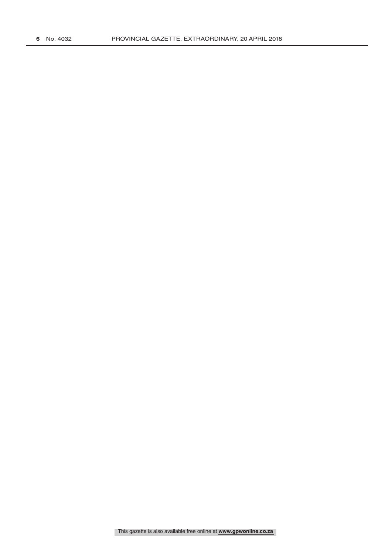This gazette is also available free online at **www.gpwonline.co.za**